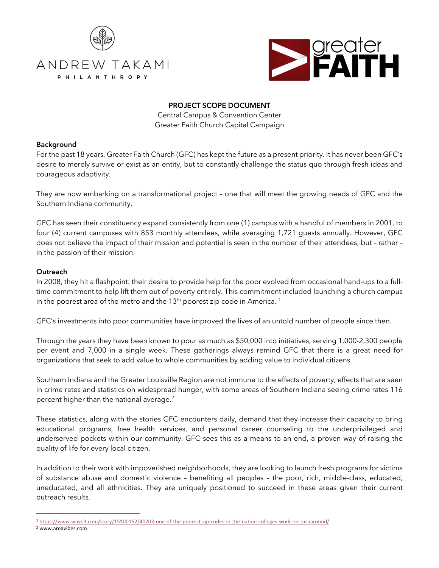



# **PROJECT SCOPE DOCUMENT**

Central Campus & Convention Center Greater Faith Church Capital Campaign

## **Background**

For the past 18 years, Greater Faith Church (GFC) has kept the future as a present priority. It has never been GFC's desire to merely survive or exist as an entity, but to constantly challenge the status quo through fresh ideas and courageous adaptivity.

They are now embarking on a transformational project – one that will meet the growing needs of GFC and the Southern Indiana community.

GFC has seen their constituency expand consistently from one (1) campus with a handful of members in 2001, to four (4) current campuses with 853 monthly attendees, while averaging 1,721 guests annually. However, GFC does not believe the impact of their mission and potential is seen in the number of their attendees, but – rather – in the passion of their mission.

## **Outreach**

In 2008, they hit a flashpoint: their desire to provide help for the poor evolved from occasional hand-ups to a fulltime commitment to help lift them out of poverty entirely. This commitment included launching a church campus in the poorest area of the metro and the  $13<sup>th</sup>$  poorest zip code in America.<sup>1</sup>

GFC's investments into poor communities have improved the lives of an untold number of people since then.

Through the years they have been known to pour as much as \$50,000 into initiatives, serving 1,000-2,300 people per event and 7,000 in a single week. These gatherings always remind GFC that there is a great need for organizations that seek to add value to whole communities by adding value to individual citizens.

Southern Indiana and the Greater Louisville Region are not immune to the effects of poverty, effects that are seen in crime rates and statistics on widespread hunger, with some areas of Southern Indiana seeing crime rates 116 percent higher than the national average. 2

These statistics, along with the stories GFC encounters daily, demand that they increase their capacity to bring educational programs, free health services, and personal career counseling to the underprivileged and underserved pockets within our community. GFC sees this as a means to an end, a proven way of raising the quality of life for every local citizen.

In addition to their work with impoverished neighborhoods, they are looking to launch fresh programs for victims of substance abuse and domestic violence – benefiting all peoples – the poor, rich, middle-class, educated, uneducated, and all ethnicities. They are uniquely positioned to succeed in these areas given their current outreach results.

<sup>1</sup> https://www.wave3.com/story/15100152/40203-one-of-the-poorest-zip-codes-in-the-nation-colleges-work-on-turnaround/

<sup>2</sup> www.areavibes.com